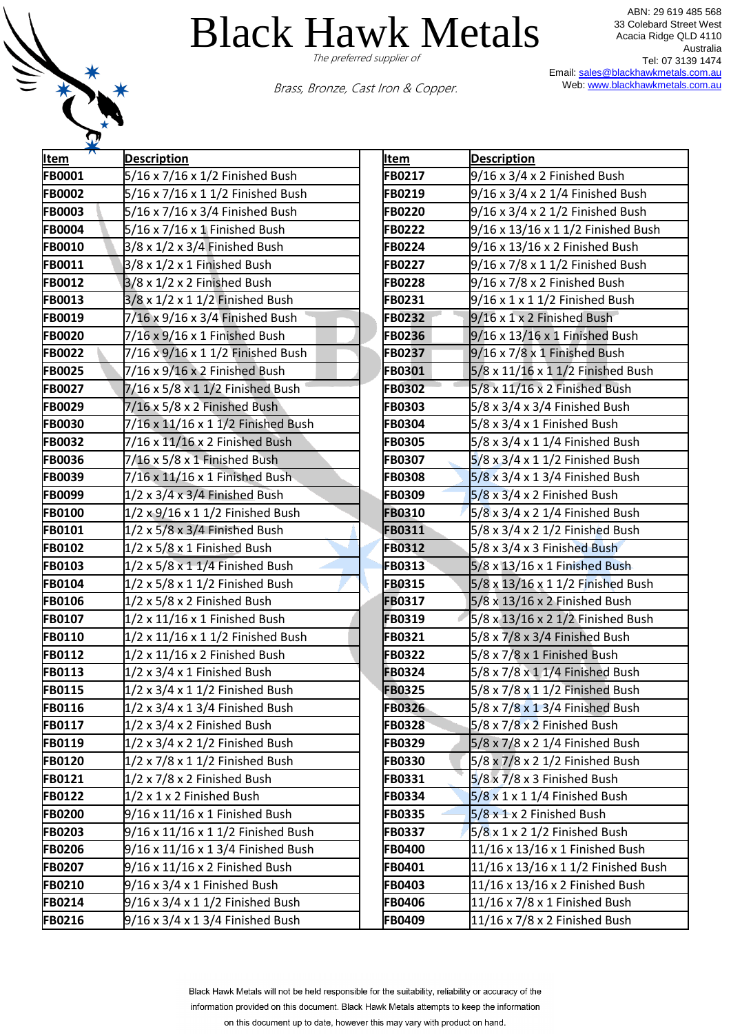

ABN: 29 619 485 568 33 Colebard Street West Acacia Ridge QLD 4110 Australia Tel: 07 3139 1474 Email[: sales@blackhawkmetals.com.au](mailto:sales@blackhawkmetals.com.au) Web: [www.blackhawkmetals.com.au](http://www.blackhawkmetals.com.au/)

Brass, Bronze, Cast Iron & Copper.

| <b>Item</b>   | <b>Description</b>                           | <b>Item</b>   | <b>Description</b>                          |
|---------------|----------------------------------------------|---------------|---------------------------------------------|
| FB0001        | 5/16 x 7/16 x 1/2 Finished Bush              | FB0217        | 9/16 x 3/4 x 2 Finished Bush                |
| <b>FB0002</b> | 5/16 x 7/16 x 1 1/2 Finished Bush            | FB0219        | 9/16 x 3/4 x 2 1/4 Finished Bush            |
| <b>FB0003</b> | 5/16 x 7/16 x 3/4 Finished Bush              | FB0220        | 9/16 x 3/4 x 2 1/2 Finished Bush            |
| <b>FB0004</b> | 5/16 x 7/16 x 1 Finished Bush                | FB0222        | 9/16 x 13/16 x 1 1/2 Finished Bush          |
| <b>FB0010</b> | $3/8 \times 1/2 \times 3/4$ Finished Bush    | FB0224        | 9/16 x 13/16 x 2 Finished Bush              |
| FB0011        | 3/8 x 1/2 x 1 Finished Bush                  | FB0227        | 9/16 x 7/8 x 1 1/2 Finished Bush            |
| <b>FB0012</b> | $3/8 \times 1/2 \times 2$ Finished Bush      | FB0228        | 9/16 x 7/8 x 2 Finished Bush                |
| <b>FB0013</b> | 3/8 x 1/2 x 1 1/2 Finished Bush              | FB0231        | $9/16 \times 1 \times 1$ 1/2 Finished Bush  |
| <b>FB0019</b> | 7/16 x 9/16 x 3/4 Finished Bush              | FB0232        | $9/16 \times 1 \times 2$ Finished Bush      |
| <b>FB0020</b> | $7/16 \times 9/16 \times 1$ Finished Bush    | <b>FB0236</b> | $9/16 \times 13/16 \times 1$ Finished Bush  |
| <b>FB0022</b> | 7/16 x 9/16 x 1 1/2 Finished Bush            | FB0237        | $9/16 \times 7/8 \times 1$ Finished Bush    |
| <b>FB0025</b> | 7/16 x 9/16 x 2 Finished Bush                | FB0301        | 5/8 x 11/16 x 1 1/2 Finished Bush           |
| <b>FB0027</b> | 7/16 x 5/8 x 1 1/2 Finished Bush             | FB0302        | $5/8 \times 11/16 \times 2$ Finished Bush   |
| <b>FB0029</b> | 7/16 x 5/8 x 2 Finished Bush                 | <b>FB0303</b> | 5/8 x 3/4 x 3/4 Finished Bush               |
| <b>FB0030</b> | 7/16 x 11/16 x 1 1/2 Finished Bush           | FB0304        | 5/8 x 3/4 x 1 Finished Bush                 |
| <b>FB0032</b> | 7/16 x 11/16 x 2 Finished Bush               | <b>FB0305</b> | 5/8 x 3/4 x 1 1/4 Finished Bush             |
| <b>FB0036</b> | 7/16 x 5/8 x 1 Finished Bush                 | FB0307        | 5/8 x 3/4 x 1 1/2 Finished Bush             |
| <b>FB0039</b> | 7/16 x 11/16 x 1 Finished Bush               | <b>FB0308</b> | 5/8 x 3/4 x 1 3/4 Finished Bush             |
| <b>FB0099</b> | $1/2 \times 3/4 \times 3/4$ Finished Bush    | FB0309        | $5/8 \times 3/4 \times 2$ Finished Bush     |
| <b>FB0100</b> | 1/2 x 9/16 x 1 1/2 Finished Bush             | FB0310        | $5/8 \times 3/4 \times 2$ 1/4 Finished Bush |
| FB0101        | $1/2 \times 5/8 \times 3/4$ Finished Bush    | FB0311        | 5/8 x 3/4 x 2 1/2 Finished Bush             |
| <b>FB0102</b> | 1/2 x 5/8 x 1 Finished Bush                  | FB0312        | 5/8 x 3/4 x 3 Finished Bush                 |
| <b>FB0103</b> | $1/2 \times 5/8 \times 11/4$ Finished Bush   | <b>FB0313</b> | 5/8 x 13/16 x 1 Finished Bush               |
| FB0104        | $1/2 \times 5/8 \times 1$ 1/2 Finished Bush  | FB0315        | 5/8 x 13/16 x 1 1/2 Finished Bush           |
| <b>FB0106</b> | 1/2 x 5/8 x 2 Finished Bush                  | <b>FB0317</b> | 5/8 x 13/16 x 2 Finished Bush               |
| <b>FB0107</b> | $1/2 \times 11/16 \times 1$ Finished Bush    | FB0319        | 5/8 x 13/16 x 2 1/2 Finished Bush           |
| <b>FB0110</b> | $1/2 \times 11/16 \times 11/2$ Finished Bush | FB0321        | 5/8 x 7/8 x 3/4 Finished Bush               |
| FB0112        | $1/2 \times 11/16 \times 2$ Finished Bush    | <b>FB0322</b> | 5/8 x 7/8 x 1 Finished Bush                 |
| <b>FB0113</b> | $1/2 \times 3/4 \times 1$ Finished Bush      | FB0324        | 5/8 x 7/8 x 1 1/4 Finished Bush             |
| FB0115        | $1/2 \times 3/4 \times 1$ 1/2 Finished Bush  | <b>FB0325</b> | 5/8 x 7/8 x 1 1/2 Finished Bush             |
| FB0116        | $1/2 \times 3/4 \times 1$ 3/4 Finished Bush  | <b>FB0326</b> | 5/8 x 7/8 x 1 3/4 Finished Bush             |
| FB0117        | $1/2 \times 3/4 \times 2$ Finished Bush      | <b>FB0328</b> | $5/8 \times 7/8 \times 2$ Finished Bush     |
| FB0119        | $1/2 \times 3/4 \times 2$ 1/2 Finished Bush  | FB0329        | 5/8 x 7/8 x 2 1/4 Finished Bush             |
| <b>FB0120</b> | $1/2 \times 7/8 \times 1$ 1/2 Finished Bush  | <b>FB0330</b> | 5/8 x 7/8 x 2 1/2 Finished Bush             |
| FB0121        | $1/2 \times 7/8 \times 2$ Finished Bush      | FB0331        | $5/8 \times 7/8 \times 3$ Finished Bush     |
| <b>FB0122</b> | 1/2 x 1 x 2 Finished Bush                    | FB0334        | $5/8 \times 1 \times 1$ 1/4 Finished Bush   |
| <b>FB0200</b> | 9/16 x 11/16 x 1 Finished Bush               | <b>FB0335</b> | $5/8 \times 1 \times 2$ Finished Bush       |
| <b>FB0203</b> | 9/16 x 11/16 x 1 1/2 Finished Bush           | <b>FB0337</b> | $5/8 \times 1 \times 2$ 1/2 Finished Bush   |
| <b>FB0206</b> | 9/16 x 11/16 x 1 3/4 Finished Bush           | FB0400        | 11/16 x 13/16 x 1 Finished Bush             |
| <b>FB0207</b> | 9/16 x 11/16 x 2 Finished Bush               | FB0401        | 11/16 x 13/16 x 1 1/2 Finished Bush         |
| <b>FB0210</b> | $9/16 \times 3/4 \times 1$ Finished Bush     | FB0403        | 11/16 x 13/16 x 2 Finished Bush             |
| FB0214        | 9/16 x 3/4 x 1 1/2 Finished Bush             | <b>FB0406</b> | 11/16 x 7/8 x 1 Finished Bush               |
| FB0216        | 9/16 x 3/4 x 1 3/4 Finished Bush             | FB0409        | 11/16 x 7/8 x 2 Finished Bush               |

| <u>Item</u>   | <b>Description</b>                        |
|---------------|-------------------------------------------|
| FB0217        | 9/16 x 3/4 x 2 Finished Bush              |
| FB0219        | 9/16 x 3/4 x 2 1/4 Finished Bush          |
| <b>FB0220</b> | 9/16 x 3/4 x 2 1/2 Finished Bush          |
| <b>FB0222</b> | 9/16 x 13/16 x 1 1/2 Finished Bush        |
| <b>FB0224</b> | 9/16 x 13/16 x 2 Finished Bush            |
| <b>FB0227</b> | 9/16 x 7/8 x 1 1/2 Finished Bush          |
| <b>FB0228</b> | 9/16 x 7/8 x 2 Finished Bush              |
| FB0231        | 9/16 x 1 x 1 1/2 Finished Bush            |
| <b>FB0232</b> | 9/16 x 1 x 2 Finished Bush                |
| <b>FB0236</b> | 9/16 x 13/16 x 1 Finished Bush            |
| FB0237        | 9/16 x 7/8 x 1 Finished Bush              |
| FB0301        | 5/8 x 11/16 x 1 1/2 Finished Bush         |
| <b>FB0302</b> | 5/8 x 11/16 x 2 Finished Bush             |
| FB0303        | 5/8 x 3/4 x 3/4 Finished Bush             |
| FB0304        | 5/8 x 3/4 x 1 Finished Bush               |
| <b>FB0305</b> | 5/8 x 3/4 x 1 1/4 Finished Bush           |
| <b>FB0307</b> | 5/8 x 3/4 x 1 1/2 Finished Bush           |
| <b>FB0308</b> | 5/8 x 3/4 x 1 3/4 Finished Bush           |
| FB0309        | 5/8 x 3/4 x 2 Finished Bush               |
| FB0310        | 5/8 x 3/4 x 2 1/4 Finished Bush           |
| FB0311        | 5/8 x 3/4 x 2 1/2 Finished Bush           |
| FB0312        | 5/8 x 3/4 x 3 Finished Bush               |
| <b>FB0313</b> | 5/8 x 13/16 x 1 Finished Bush             |
| <b>FB0315</b> | 5/8 x 13/16 x 1 1/2 Finished Bush         |
| FB0317        | 5/8 x 13/16 x 2 Finished Bush             |
| <b>FB0319</b> | 5/8 x 13/16 x 2 1/2 Finished Bush         |
| FB0321        | 5/8 x 7/8 x 3/4 Finished Bush             |
| <b>FB0322</b> | 5/8 x 7/8 x 1 Finished Bush               |
| <b>FB0324</b> | 5/8 x 7/8 x 1 1/4 Finished Bush           |
| <b>FB0325</b> | 5/8 x 7/8 x 1 1/2 Finished Bush           |
| <b>FB0326</b> | 5/8 x 7/8 x 1 3/4 Finished Bush           |
| FB0328        | 5/8 x 7/8 x 2 Finished Bush               |
| FB0329        | 5/8 x 7/8 x 2 1/4 Finished Bush           |
| <b>FB0330</b> | 5/8 x 7/8 x 2 1/2 Finished Bush           |
| <b>FB0331</b> | 5/8 x 7/8 x 3 Finished Bush               |
| FB0334        | $5/8 \times 1 \times 1$ 1/4 Finished Bush |
| <b>FB0335</b> | 5/8 x 1 x 2 Finished Bush                 |
| FB0337        | 5/8 x 1 x 2 1/2 Finished Bush             |
| <b>FB0400</b> | 11/16 x 13/16 x 1 Finished Bush           |
| <b>FB0401</b> | 11/16 x 13/16 x 1 1/2 Finished Bush       |
| FB0403        | 11/16 x 13/16 x 2 Finished Bush           |
| FB0406        | 11/16 x 7/8 x 1 Finished Bush             |
| FB0409        | 11/16 x 7/8 x 2 Finished Bush             |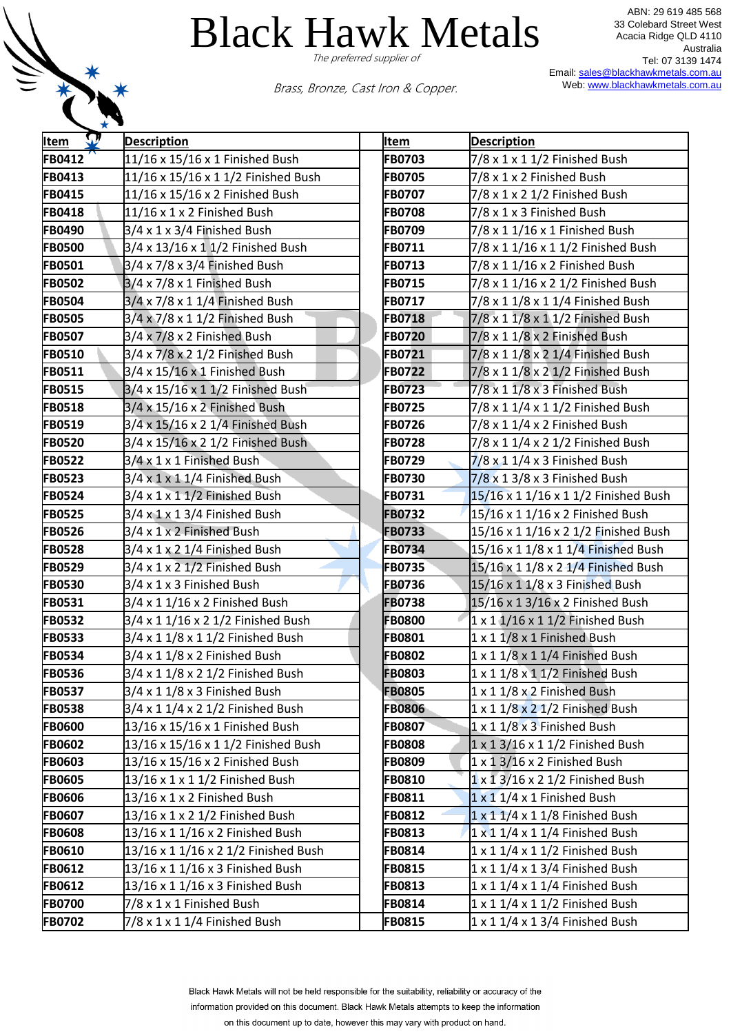

ABN: 29 619 485 568 33 Colebard Street West Acacia Ridge QLD 4110 Australia Tel: 07 3139 1474 Email[: sales@blackhawkmetals.com.au](mailto:sales@blackhawkmetals.com.au) Web: [www.blackhawkmetals.com.au](http://www.blackhawkmetals.com.au/)

Brass, Bronze, Cast Iron & Copper.

| <b>Item</b>   | <b>Description</b>                        | Item          | <b>Description</b>                              |
|---------------|-------------------------------------------|---------------|-------------------------------------------------|
| FB0412        | 11/16 x 15/16 x 1 Finished Bush           | <b>FB0703</b> | 7/8 x 1 x 1 1/2 Finished Bush                   |
| FB0413        | 11/16 x 15/16 x 1 1/2 Finished Bush       | <b>FB0705</b> | 7/8 x 1 x 2 Finished Bush                       |
| FB0415        | 11/16 x 15/16 x 2 Finished Bush           | <b>FB0707</b> | 7/8 x 1 x 2 1/2 Finished Bush                   |
| FB0418        | 11/16 x 1 x 2 Finished Bush               | <b>FB0708</b> | 7/8 x 1 x 3 Finished Bush                       |
| FB0490        | 3/4 x 1 x 3/4 Finished Bush               | FB0709        | 7/8 x 1 1/16 x 1 Finished Bush                  |
| <b>FB0500</b> | 3/4 x 13/16 x 1 1/2 Finished Bush         | FB0711        | 7/8 x 1 1/16 x 1 1/2 Finished Bush              |
| FB0501        | $3/4 \times 7/8 \times 3/4$ Finished Bush | FB0713        | 7/8 x 1 1/16 x 2 Finished Bush                  |
| <b>FB0502</b> | $3/4 \times 7/8 \times 1$ Finished Bush   | FB0715        | 7/8 x 1 1/16 x 2 1/2 Finished Bush              |
| <b>FB0504</b> | 3/4 x 7/8 x 1 1/4 Finished Bush           | <b>FB0717</b> | 7/8 x 1 1/8 x 1 1/4 Finished Bush               |
| <b>FB0505</b> | 3/4 x 7/8 x 1 1/2 Finished Bush           | <b>FB0718</b> | 7/8 x 1 1/8 x 1 1/2 Finished Bush               |
| <b>FB0507</b> | 3/4 x 7/8 x 2 Finished Bush               | <b>FB0720</b> | $7/8 \times 1$ 1/8 $\times$ 2 Finished Bush     |
| <b>FB0510</b> | 3/4 x 7/8 x 2 1/2 Finished Bush           | FB0721        | 7/8 x 1 1/8 x 2 1/4 Finished Bush               |
| FB0511        | $3/4 \times 15/16 \times 1$ Finished Bush | <b>FB0722</b> | 7/8 x 1 1/8 x 2 1/2 Finished Bush               |
| <b>FB0515</b> | 3/4 x 15/16 x 1 1/2 Finished Bush         | FB0723        | 7/8 x 1 1/8 x 3 Finished Bush                   |
| <b>FB0518</b> | $3/4 \times 15/16 \times 2$ Finished Bush | <b>FB0725</b> | 7/8 x 1 1/4 x 1 1/2 Finished Bush               |
| FB0519        | 3/4 x 15/16 x 2 1/4 Finished Bush         | <b>FB0726</b> | 7/8 x 1 1/4 x 2 Finished Bush                   |
| <b>FB0520</b> | 3/4 x 15/16 x 2 1/2 Finished Bush         | <b>FB0728</b> | 7/8 x 1 1/4 x 2 1/2 Finished Bush               |
| <b>FB0522</b> | 3/4 x 1 x 1 Finished Bush                 | FB0729        | $7/8 \times 1$ 1/4 x 3 Finished Bush            |
| <b>FB0523</b> | $3/4 \times 1 \times 1$ 1/4 Finished Bush | FB0730        | 7/8 x 1 3/8 x 3 Finished Bush                   |
| <b>FB0524</b> | $3/4 \times 1 \times 1$ 1/2 Finished Bush | FB0731        | 15/16 x 1 1/16 x 1 1/2 Finished Bush            |
| <b>FB0525</b> | $3/4 \times 1 \times 1$ 3/4 Finished Bush | <b>FB0732</b> | 15/16 x 1 1/16 x 2 Finished Bush                |
| <b>FB0526</b> | 3/4 x 1 x 2 Finished Bush                 | <b>FB0733</b> | 15/16 x 1 1/16 x 2 1/2 Finished Bush            |
| <b>FB0528</b> | $3/4 \times 1 \times 2$ 1/4 Finished Bush | FB0734        | 15/16 x 1 1/8 x 1 1/4 Finished Bush             |
| <b>FB0529</b> | $3/4 \times 1 \times 2$ 1/2 Finished Bush | FB0735        | 15/16 x 1 1/8 x 2 1/4 Finished Bush             |
| <b>FB0530</b> | 3/4 x 1 x 3 Finished Bush                 | <b>FB0736</b> | 15/16 x 1 1/8 x 3 Finished Bush                 |
| FB0531        | $3/4 \times 1$ 1/16 x 2 Finished Bush     | <b>FB0738</b> | 15/16 x 1 3/16 x 2 Finished Bush                |
| <b>FB0532</b> | 3/4 x 1 1/16 x 2 1/2 Finished Bush        | <b>FB0800</b> | 1 x 1 1/16 x 1 1/2 Finished Bush                |
| <b>FB0533</b> | 3/4 x 1 1/8 x 1 1/2 Finished Bush         | <b>FB0801</b> | 1 x 1 1/8 x 1 Finished Bush                     |
| <b>FB0534</b> | 3/4 x 1 1/8 x 2 Finished Bush             | <b>FB0802</b> | 1 x 1 1/8 x 1 1/4 Finished Bush                 |
| <b>FB0536</b> | 3/4 x 1 1/8 x 2 1/2 Finished Bush         | <b>FB0803</b> | 1 x 1 1/8 x 1 1/2 Finished Bush                 |
| <b>FB0537</b> | $3/4 \times 1$ 1/8 x 3 Finished Bush      | <b>FB0805</b> | 1 x 1 1/8 x 2 Finished Bush                     |
| <b>FB0538</b> | 3/4 x 1 1/4 x 2 1/2 Finished Bush         | <b>FB0806</b> | $1 \times 1$ $1/8 \times 2$ $1/2$ Finished Bush |
| <b>FB0600</b> | 13/16 x 15/16 x 1 Finished Bush           | <b>FB0807</b> | 1 x 1 1/8 x 3 Finished Bush                     |
| <b>FB0602</b> | 13/16 x 15/16 x 1 1/2 Finished Bush       | <b>FB0808</b> | $1 \times 1$ 3/16 x 1 1/2 Finished Bush         |
| <b>FB0603</b> | 13/16 x 15/16 x 2 Finished Bush           | <b>FB0809</b> | $1 \times 1$ 3/16 x 2 Finished Bush             |
| <b>FB0605</b> | 13/16 x 1 x 1 1/2 Finished Bush           | FB0810        | $1 \times 13/16 \times 21/2$ Finished Bush      |
| <b>FB0606</b> | 13/16 x 1 x 2 Finished Bush               | FB0811        | $1 \times 1$ $1/4 \times 1$ Finished Bush       |
| <b>FB0607</b> | 13/16 x 1 x 2 1/2 Finished Bush           | <b>FB0812</b> | $1 \times 11/4 \times 11/8$ Finished Bush       |
| <b>FB0608</b> | 13/16 x 1 1/16 x 2 Finished Bush          | FB0813        | $1 \times 1$ $1/4 \times 1$ $1/4$ Finished Bush |
| FB0610        | 13/16 x 1 1/16 x 2 1/2 Finished Bush      | FB0814        | $1 \times 1$ $1/4 \times 1$ $1/2$ Finished Bush |
| FB0612        | 13/16 x 1 1/16 x 3 Finished Bush          | FB0815        | $1 \times 1$ $1/4 \times 1$ $3/4$ Finished Bush |
| FB0612        | 13/16 x 1 1/16 x 3 Finished Bush          | FB0813        | $1 \times 1$ $1/4 \times 1$ $1/4$ Finished Bush |
| <b>FB0700</b> | 7/8 x 1 x 1 Finished Bush                 | FB0814        | $1 \times 1$ $1/4 \times 1$ $1/2$ Finished Bush |
| <b>FB0702</b> | $7/8 \times 1 \times 1$ 1/4 Finished Bush | <b>FB0815</b> | $1 \times 1$ $1/4 \times 1$ $3/4$ Finished Bush |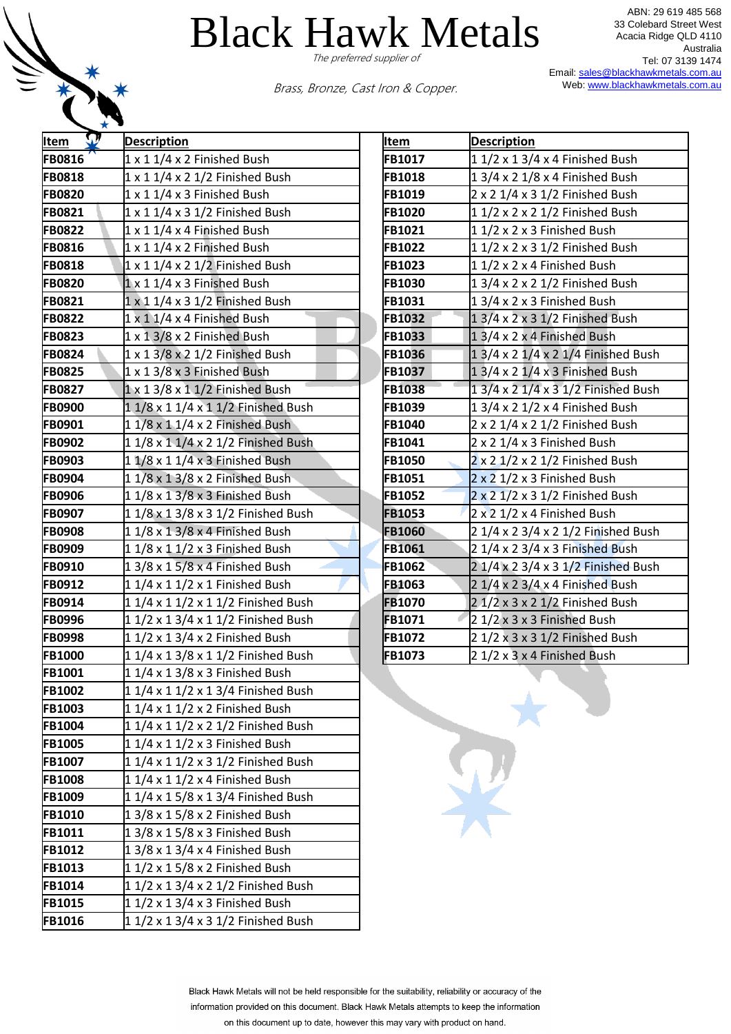

ABN: 29 619 485 568 33 Colebard Street West Acacia Ridge QLD 4110 Australia Tel: 07 3139 1474 Email[: sales@blackhawkmetals.com.au](mailto:sales@blackhawkmetals.com.au) Web: [www.blackhawkmetals.com.au](http://www.blackhawkmetals.com.au/)

Brass, Bronze, Cast Iron & Copper.

| $11/2 \times 13/4 \times 4$ Finished Bush |
|-------------------------------------------|
| 1 3/4 x 2 1/8 x 4 Finished Bush           |
| $2 \times 2$ 1/4 x 3 1/2 Finished Bush    |
| 1 1/2 x 2 x 2 1/2 Finished Bush           |
| $1/2 \times 2 \times 3$ Finished Bush     |
| 1 1/2 x 2 x 3 1/2 Finished Bush           |
| 11/2 x 2 x 4 Finished Bush                |
| 1 3/4 x 2 x 2 1/2 Finished Bush           |
| $13/4 \times 2 \times 3$ Finished Bush    |
| $13/4 \times 2 \times 31/2$ Finished Bush |
| $13/4 \times 2 \times 4$ Finished Bush    |
| 1 3/4 x 2 1/4 x 2 1/4 Finished Bush       |
| $13/4 \times 21/4 \times 3$ Finished Bush |
| 1 3/4 x 2 1/4 x 3 1/2 Finished Bush       |
| 1 3/4 x 2 1/2 x 4 Finished Bush           |
| 2 x 2 1/4 x 2 1/2 Finished Bush           |
| 2 x 2 1/4 x 3 Finished Bush               |
| 2 x 2 1/2 x 2 1/2 Finished Bush           |
| $2 \times 2$ 1/2 x 3 Finished Bush        |
| 2 x 2 1/2 x 3 1/2 Finished Bush           |
| 2 x 2 1/2 x 4 Finished Bush               |
| 2 1/4 x 2 3/4 x 2 1/2 Finished Bush       |
| 2 1/4 x 2 3/4 x 3 Finished Bush           |
| 2 1/4 x 2 3/4 x 3 1/2 Finished Bush       |
| $21/4 \times 23/4 \times 4$ Finished Bush |
| $21/2 \times 3 \times 21/2$ Finished Bush |
| $21/2 \times 3 \times 3$ Finished Bush    |
| 2 1/2 x 3 x 3 1/2 Finished Bush           |
| 2 1/2 x 3 x 4 Finished Bush               |
|                                           |
|                                           |
|                                           |
|                                           |
|                                           |
|                                           |
|                                           |
|                                           |
|                                           |
|                                           |
|                                           |
|                                           |
|                                           |
|                                           |
|                                           |
|                                           |

| <b>Item</b>   | <b>Description</b>                        |
|---------------|-------------------------------------------|
| <b>FB1017</b> | 1 1/2 x 1 3/4 x 4 Finished Bush           |
| FB1018        | 1 3/4 x 2 1/8 x 4 Finished Bush           |
| FB1019        | 2 x 2 1/4 x 3 1/2 Finished Bush           |
| FB1020        | 1 1/2 x 2 x 2 1/2 Finished Bush           |
| FB1021        | 11/2 x 2 x 3 Finished Bush                |
| FB1022        | 1 1/2 x 2 x 3 1/2 Finished Bush           |
| FB1023        | 11/2 x 2 x 4 Finished Bush                |
| FB1030        | 1 3/4 x 2 x 2 1/2 Finished Bush           |
| FB1031        | 13/4 x 2 x 3 Finished Bush                |
| FB1032        | 1 3/4 x 2 x 3 1/2 Finished Bush           |
| FB1033        | 13/4 x 2 x 4 Finished Bush                |
| FB1036        | 1 3/4 x 2 1/4 x 2 1/4 Finished Bush       |
| FB1037        | 1 3/4 x 2 1/4 x 3 Finished Bush           |
| FB1038        | 1 3/4 x 2 1/4 x 3 1/2 Finished Bush       |
| FB1039        | 1 3/4 x 2 1/2 x 4 Finished Bush           |
| FB1040        | 2 x 2 1/4 x 2 1/2 Finished Bush           |
| FB1041        | 2 x 2 1/4 x 3 Finished Bush               |
| FB1050        | 2 x 2 1/2 x 2 1/2 Finished Bush           |
| FB1051        | 2 x 2 1/2 x 3 Finished Bush               |
| FB1052        | 2 x 2 1/2 x 3 1/2 Finished Bush           |
| FB1053        | 2 x 2 1/2 x 4 Finished Bush               |
| <b>FB1060</b> | 2 1/4 x 2 3/4 x 2 1/2 Finished Bush       |
| FB1061        | 2 1/4 x 2 3/4 x 3 Finished Bush           |
| FB1062        | 2 1/4 x 2 3/4 x 3 1/2 Finished Bush       |
| FB1063        | 2 1/4 x 2 3/4 x 4 Finished Bush           |
| <b>FB1070</b> | $21/2 \times 3 \times 21/2$ Finished Bush |
| P<br>FB1071   | 2 1/2 x 3 x 3 Finished Bush               |
| FB1072        | $21/2 \times 3 \times 31/2$ Finished Bush |
| <b>FB1073</b> | 2 1/2 x 3 x 4 Finished Bush               |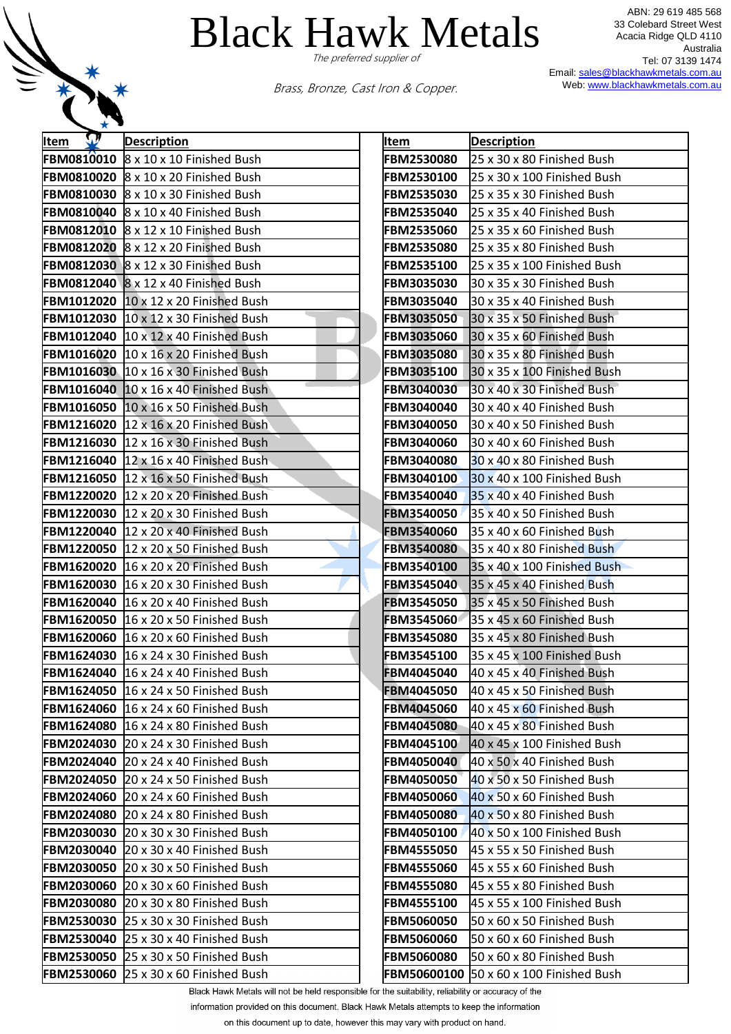

ABN: 29 619 485 568 33 Colebard Street West Acacia Ridge QLD 4110 Australia Tel: 07 3139 1474 Email[: sales@blackhawkmetals.com.au](mailto:sales@blackhawkmetals.com.au) Web: [www.blackhawkmetals.com.au](http://www.blackhawkmetals.com.au/)

Brass, Bronze, Cast Iron & Copper.

| ★ ▼       |                                                                                                                      |                                        |                                                           |
|-----------|----------------------------------------------------------------------------------------------------------------------|----------------------------------------|-----------------------------------------------------------|
| W<br>Item | <b>Description</b>                                                                                                   | Item                                   | <b>Description</b>                                        |
|           | <b>FBM0810010</b> $\&8 \times 10 \times 10$ Finished Bush                                                            | <b>FBM2530080</b>                      | 25 x 30 x 80 Finished Bush                                |
|           | <b>FBM0810020 8 x 10 x 20 Finished Bush</b>                                                                          | <b>FBM2530100</b>                      | 25 x 30 x 100 Finished Bush                               |
|           | <b>FBM0810030</b> $\&8 \times 10 \times 30$ Finished Bush                                                            | FBM2535030                             | 25 x 35 x 30 Finished Bush                                |
|           | FBM0810040 8 x 10 x 40 Finished Bush                                                                                 | <b>FBM2535040</b>                      | 25 x 35 x 40 Finished Bush                                |
|           | <b>FBM0812010</b> $\&8 \times 12 \times 10$ Finished Bush                                                            | <b>FBM2535060</b>                      | 25 x 35 x 60 Finished Bush                                |
|           | <b>FBM0812020</b> $\&8 \times 12 \times 20$ Finished Bush                                                            | <b>FBM2535080</b>                      | 25 x 35 x 80 Finished Bush                                |
|           | FBM0812030 $8 \times 12 \times 30$ Finished Bush                                                                     | <b>FBM2535100</b>                      | 25 x 35 x 100 Finished Bush                               |
|           | <b>FBM0812040</b> $\&8 \times 12 \times 40$ Finished Bush                                                            | <b>FBM3035030</b>                      | 30 x 35 x 30 Finished Bush                                |
|           | <b>FBM1012020</b> 10 x 12 x 20 Finished Bush                                                                         | <b>FBM3035040</b>                      | 30 x 35 x 40 Finished Bush                                |
|           | <b>FBM1012030 10 x 12 x 30 Finished Bush</b>                                                                         | <b>FBM3035050</b>                      | 30 x 35 x 50 Finished Bush                                |
|           | <b>FBM1012040</b> 10 x 12 x 40 Finished Bush                                                                         | <b>FBM3035060</b>                      | 30 x 35 x 60 Finished Bush                                |
|           | <b>FBM1016020</b> 10 x 16 x 20 Finished Bush                                                                         | <b>FBM3035080</b>                      | 30 x 35 x 80 Finished Bush                                |
|           | <b>FBM1016030</b> 10 x 16 x 30 Finished Bush                                                                         | <b>FBM3035100</b>                      | 30 x 35 x 100 Finished Bush                               |
|           | <b>FBM1016040</b> $\left 10 \times 16 \times 40\right $ Finished Bush                                                | <b>FBM3040030</b>                      | 30 x 40 x 30 Finished Bush                                |
|           | <b>FBM1016050</b> $\left 10 \times 16 \times 50\right $ Finished Bush                                                | <b>FBM3040040</b>                      | 30 x 40 x 40 Finished Bush                                |
|           | <b>FBM1216020</b> $\left 12 \times 16 \times 20\right $ Finished Bush                                                | <b>FBM3040050</b>                      | 30 x 40 x 50 Finished Bush                                |
|           | <b>FBM1216030</b> 12 x 16 x 30 Finished Bush                                                                         | <b>FBM3040060</b>                      | 30 x 40 x 60 Finished Bush                                |
|           | <b>FBM1216040</b> $ 12 \times 16 \times 40$ Finished Bush                                                            | <b>FBM3040080</b>                      | 30 x 40 x 80 Finished Bush                                |
|           | <b>FBM1216050</b> $\left 12 \times 16 \times 50\right $ Finished Bush                                                | <b>FBM3040100</b>                      | 30 x 40 x 100 Finished Bush                               |
|           | <b>FBM1220020</b> 12 x 20 x 20 Finished Bush                                                                         | <b>FBM3540040</b>                      | 35 x 40 x 40 Finished Bush                                |
|           | FBM1220030 12 x 20 x 30 Finished Bush                                                                                | <b>FBM3540050</b>                      | 35 x 40 x 50 Finished Bush                                |
|           | <b>FBM1220040</b> 12 x 20 x 40 Finished Bush                                                                         | <b>FBM3540060</b>                      | 35 x 40 x 60 Finished Bush                                |
|           | <b>FBM1220050</b> 12 x 20 x 50 Finished Bush                                                                         | <b>FBM3540080</b>                      | 35 x 40 x 80 Finished Bush                                |
|           | <b>FBM1620020</b> 16 x 20 x 20 Finished Bush                                                                         | <b>FBM3540100</b>                      | 35 x 40 x 100 Finished Bush                               |
|           | <b>FBM1620030</b> 16 x 20 x 30 Finished Bush                                                                         | <b>FBM3545040</b>                      | 35 x 45 x 40 Finished Bush                                |
|           | <b>FBM1620040</b> 16 x 20 x 40 Finished Bush                                                                         | <b>FBM3545050</b>                      | 35 x 45 x 50 Finished Bush                                |
|           | <b>FBM1620050</b> 16 x 20 x 50 Finished Bush                                                                         | <b>FBM3545060</b>                      | 35 x 45 x 60 Finished Bush                                |
|           | <b>FBM1620060</b> 16 x 20 x 60 Finished Bush                                                                         | <b>FBM3545080</b><br><b>FBM3545100</b> | 35 x 45 x 80 Finished Bush                                |
|           | <b>FBM1624030</b> $16 \times 24 \times 30$ Finished Bush<br><b>FBM1624040</b> $16 \times 24 \times 40$ Finished Bush | <b>FBM4045040</b>                      | 35 x 45 x 100 Finished Bush<br>40 x 45 x 40 Finished Bush |
|           | <b>FBM1624050</b> 16 x 24 x 50 Finished Bush                                                                         | <b>FBM4045050</b>                      | 40 x 45 x 50 Finished Bush                                |
|           | <b>FBM1624060</b> 16 x 24 x 60 Finished Bush                                                                         | <b>FBM4045060</b>                      | 40 x 45 x 60 Finished Bush                                |
|           | <b>FBM1624080</b> 16 x 24 x 80 Finished Bush                                                                         | FBM4045080                             | 40 x 45 x 80 Finished Bush                                |
|           | <b>FBM2024030</b> 20 x 24 x 30 Finished Bush                                                                         | <b>FBM4045100</b>                      | 40 x 45 x 100 Finished Bush                               |
|           | <b>FBM2024040</b> 20 x 24 x 40 Finished Bush                                                                         | FBM4050040                             | 40 x 50 x 40 Finished Bush                                |
|           | FBM2024050 20 x 24 x 50 Finished Bush                                                                                | <b>FBM4050050</b>                      | 40 x 50 x 50 Finished Bush                                |
|           | FBM2024060 20 x 24 x 60 Finished Bush                                                                                | <b>FBM4050060</b>                      | 40 x 50 x 60 Finished Bush                                |
|           | <b>FBM2024080</b> 20 x 24 x 80 Finished Bush                                                                         | <b>FBM4050080</b>                      | 40 x 50 x 80 Finished Bush                                |
|           | <b>FBM2030030</b> 20 x 30 x 30 Finished Bush                                                                         | <b>FBM4050100</b>                      | 40 x 50 x 100 Finished Bush                               |
|           | <b>FBM2030040</b> 20 x 30 x 40 Finished Bush                                                                         | <b>FBM4555050</b>                      | 45 x 55 x 50 Finished Bush                                |
|           | <b>FBM2030050</b> 20 x 30 x 50 Finished Bush                                                                         | <b>FBM4555060</b>                      | 45 x 55 x 60 Finished Bush                                |
|           | FBM2030060 20 x 30 x 60 Finished Bush                                                                                | <b>FBM4555080</b>                      | 45 x 55 x 80 Finished Bush                                |
|           | <b>FBM2030080</b> 20 x 30 x 80 Finished Bush                                                                         | <b>FBM4555100</b>                      | 45 x 55 x 100 Finished Bush                               |
|           | <b>FBM2530030 25 x 30 x 30 Finished Bush</b>                                                                         | <b>FBM5060050</b>                      | 50 x 60 x 50 Finished Bush                                |
|           | <b>FBM2530040</b> 25 x 30 x 40 Finished Bush                                                                         | <b>FBM5060060</b>                      | 50 x 60 x 60 Finished Bush                                |
|           | <b>FBM2530050</b> 25 x 30 x 50 Finished Bush                                                                         | <b>FBM5060080</b>                      | 50 x 60 x 80 Finished Bush                                |
|           | FBM2530060 25 x 30 x 60 Finished Bush                                                                                | FBM50600100                            | 50 x 60 x 100 Finished Bush                               |
|           |                                                                                                                      |                                        |                                                           |

| It <u>em</u>                           | <b>Description</b>                                        |
|----------------------------------------|-----------------------------------------------------------|
| FBM2530080                             | 25 x 30 x 80 Finished Bush                                |
| FBM2530100                             | 25 x 30 x 100 Finished Bush                               |
| <b>FBM2535030</b>                      | 25 x 35 x 30 Finished Bush                                |
| <b>FBM2535040</b>                      | 25 x 35 x 40 Finished Bush                                |
| <b>FBM2535060</b>                      | 25 x 35 x 60 Finished Bush                                |
| <b>FBM2535080</b>                      | 25 x 35 x 80 Finished Bush                                |
| FBM2535100                             | 25 x 35 x 100 Finished Bush                               |
| <b>FBM3035030</b>                      | 30 x 35 x 30 Finished Bush                                |
| <b>FBM3035040</b>                      | 30 x 35 x 40 Finished Bush                                |
| <b>FBM3035050</b>                      | 30 x 35 x 50 Finished Bush                                |
| FBM3035060                             | 30 x 35 x 60 Finished Bush                                |
| <b>FBM3035080</b>                      | 30 x 35 x 80 Finished Bush                                |
| <b>FBM3035100</b>                      | 30 x 35 x 100 Finished Bush                               |
| <b>FBM3040030</b>                      | 30 x 40 x 30 Finished Bush                                |
| FBM3040040                             | 30 x 40 x 40 Finished Bush                                |
| FBM3040050                             | 30 x 40 x 50 Finished Bush                                |
| FBM3040060                             | 30 x 40 x 60 Finished Bush                                |
| FBM3040080                             | 30 x 40 x 80 Finished Bush                                |
| FBM3040100                             | 30 x 40 x 100 Finished Bush                               |
| <b>FBM3540040</b>                      | 35 x 40 x 40 Finished Bush                                |
| FBM3540050                             | 35 x 40 x 50 Finished Bush                                |
| <b>FBM3540060</b>                      | 35 x 40 x 60 Finished Bush                                |
| <b>FBM3540080</b>                      | 35 x 40 x 80 Finished Bush                                |
| FBM3540100                             | 35 x 40 x 100 Finished Bush                               |
| <b>FBM3545040</b>                      | 35 x 45 x 40 Finished Bush                                |
| <b>FBM3545050</b>                      | 35 x 45 x 50 Finished Bush                                |
| <b>FBM3545060</b>                      | 35 x 45 x 60 Finished Bush                                |
| FBM3545080                             | 35 x 45 x 80 Finished Bush                                |
| FBM3545100                             | 35 x 45 x 100 Finished Bush                               |
| FBM4045040                             | 40 x 45 x 40 Finished Bush                                |
| FBM4045050                             | 40 x 45 x 50 Finished Bush                                |
| <b>FBM4045060</b>                      | 40 x 45 x 60 Finished Bush                                |
| FBM4045080                             | 40 x 45 x 80 Finished Bush                                |
| <b>FBM4045100</b>                      | 40 x 45 x 100 Finished Bush                               |
| <b>FBM4050040</b>                      | 40 x 50 x 40 Finished Bush                                |
| <b>FBM4050050</b>                      | 40 x 50 x 50 Finished Bush                                |
| <b>FBM4050060</b>                      | 40 x 50 x 60 Finished Bush                                |
| <b>FBM4050080</b>                      | 40 x 50 x 80 Finished Bush                                |
| <b>FBM4050100</b>                      | 40 x 50 x 100 Finished Bush                               |
| <b>FBM4555050</b>                      | 45 x 55 x 50 Finished Bush                                |
| <b>FBM4555060</b>                      | 45 x 55 x 60 Finished Bush                                |
| <b>FBM4555080</b>                      | 45 x 55 x 80 Finished Bush                                |
| <b>FBM4555100</b><br><b>FBM5060050</b> | 45 x 55 x 100 Finished Bush<br>50 x 60 x 50 Finished Bush |
| <b>FBM5060060</b>                      | 50 x 60 x 60 Finished Bush                                |
| <b>FBM5060080</b>                      | 50 x 60 x 80 Finished Bush                                |
|                                        | FBM50600100 50 x 60 x 100 Finished Bush                   |
|                                        |                                                           |

Black Hawk Metals will not be held responsible for the suitability, reliability or accuracy of the

information provided on this document. Black Hawk Metals attempts to keep the information